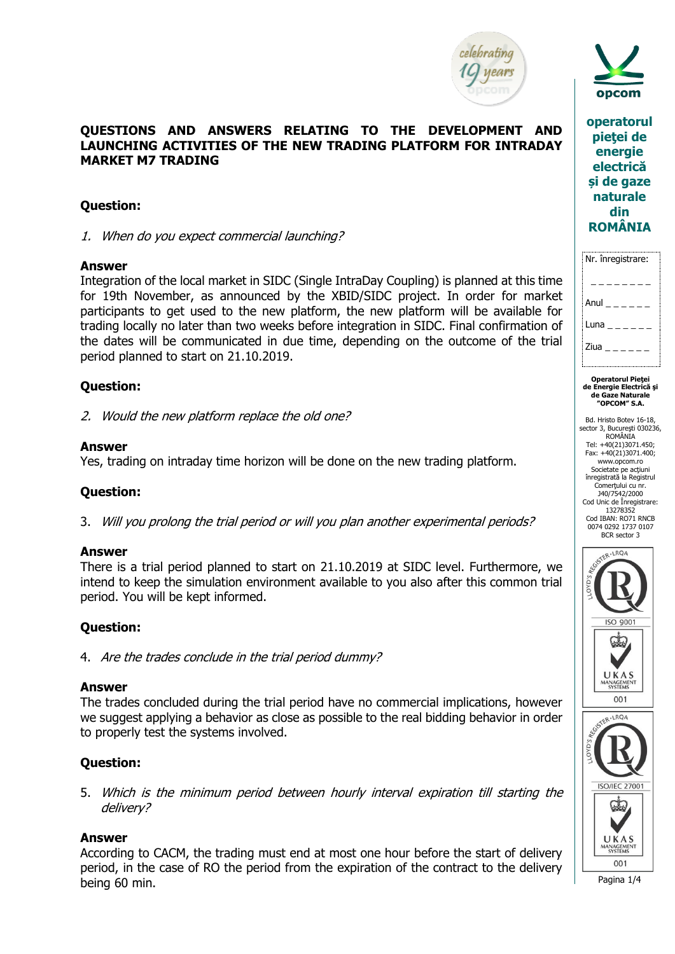



**operatorul pieţei de energie electrică și de gaze naturale din ROMÂNIA**

| <br>Nr. înregistrare: |
|-----------------------|
|                       |
| Anul<br>$   -$        |
| Luna $\_$ $\_$ $\_$   |
| Ziua $  -$            |
|                       |

**Operatorul Pieţei de Energie Electrică şi de Gaze Naturale "OPCOM" S.A.** 

Bd. Hristo Botev 16-18, sector 3, Bucureşti 030236, ROMÂNIA Tel: +40(21)3071.450; Fax: +40(21)3071.400; www.opcom.ro Societate pe acţiuni înregistrată la Registrul Comerţului cu nr. J40/7542/2000 Cod Unic de Înregistrare: 13278352 Cod IBAN: RO71 RNCB 0074 0292 1737 0107 BCR sector 3





Pagina 1/4

## **QUESTIONS AND ANSWERS RELATING TO THE DEVELOPMENT AND LAUNCHING ACTIVITIES OF THE NEW TRADING PLATFORM FOR INTRADAY MARKET M7 TRADING**

# **Question:**

1. When do you expect commercial launching?

## **Answer**

Integration of the local market in SIDC (Single IntraDay Coupling) is planned at this time for 19th November, as announced by the XBID/SIDC project. In order for market participants to get used to the new platform, the new platform will be available for trading locally no later than two weeks before integration in SIDC. Final confirmation of the dates will be communicated in due time, depending on the outcome of the trial period planned to start on 21.10.2019.

# **Question:**

2. Would the new platform replace the old one?

## **Answer**

Yes, trading on intraday time horizon will be done on the new trading platform.

## **Question:**

3. Will you prolong the trial period or will you plan another experimental periods?

## **Answer**

There is a trial period planned to start on 21.10.2019 at SIDC level. Furthermore, we intend to keep the simulation environment available to you also after this common trial period. You will be kept informed.

# **Question:**

4. Are the trades conclude in the trial period dummy?

## **Answer**

The trades concluded during the trial period have no commercial implications, however we suggest applying a behavior as close as possible to the real bidding behavior in order to properly test the systems involved.

## **Question:**

5. Which is the minimum period between hourly interval expiration till starting the delivery?

## **Answer**

According to CACM, the trading must end at most one hour before the start of delivery period, in the case of RO the period from the expiration of the contract to the delivery being 60 min.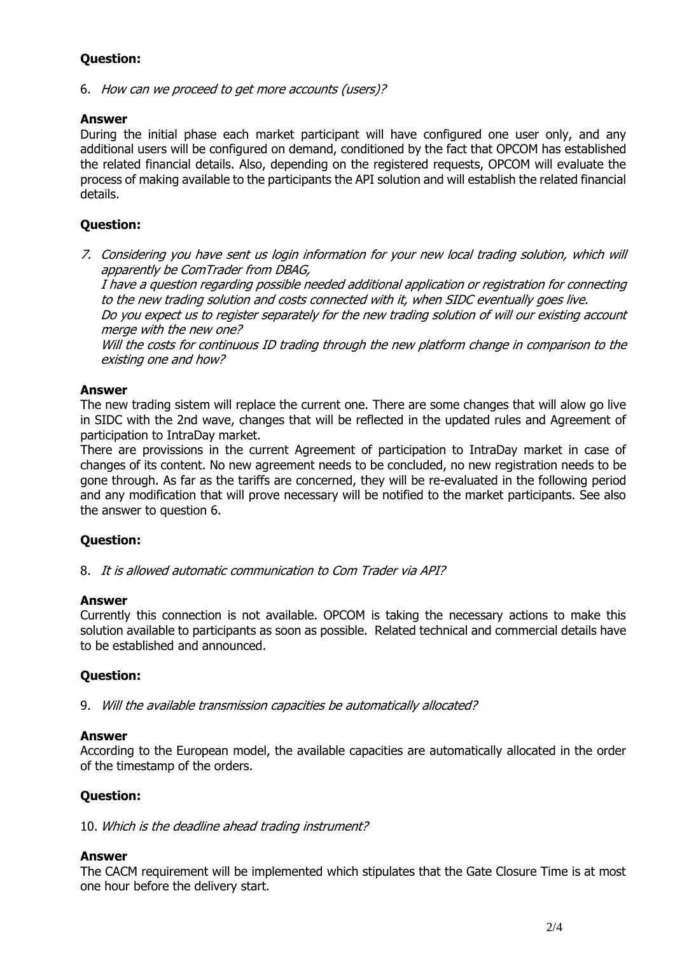# **Question:**

6. How can we proceed to get more accounts (users)?

## **Answer**

During the initial phase each market participant will have configured one user only, and any additional users will be configured on demand, conditioned by the fact that OPCOM has established the related financial details. Also, depending on the registered requests, OPCOM will evaluate the process of making available to the participants the API solution and will establish the related financial details.

## **Question:**

7. Considering you have sent us login information for your new local trading solution, which will apparently be ComTrader from DBAG,

I have a question regarding possible needed additional application or registration for connecting to the new trading solution and costs connected with it, when SIDC eventually goes live.

Do you expect us to register separately for the new trading solution of will our existing account merge with the new one?

Will the costs for continuous ID trading through the new platform change in comparison to the existing one and how?

#### **Answer**

The new trading sistem will replace the current one. There are some changes that will alow go live in SIDC with the 2nd wave, changes that will be reflected in the updated rules and Agreement of participation to IntraDay market.

There are provissions in the current Agreement of participation to IntraDay market in case of changes of its content. No new agreement needs to be concluded, no new registration needs to be gone through. As far as the tariffs are concerned, they will be re-evaluated in the following period and any modification that will prove necessary will be notified to the market participants. See also the answer to question 6.

## **Question:**

8. It is allowed automatic communication to Com Trader via API?

#### **Answer**

Currently this connection is not available. OPCOM is taking the necessary actions to make this solution available to participants as soon as possible. Related technical and commercial details have to be established and announced.

## **Question:**

9. Will the available transmission capacities be automatically allocated?

#### **Answer**

According to the European model, the available capacities are automatically allocated in the order of the timestamp of the orders.

## **Question:**

10. Which is the deadline ahead trading instrument?

## **Answer**

The CACM requirement will be implemented which stipulates that the Gate Closure Time is at most one hour before the delivery start.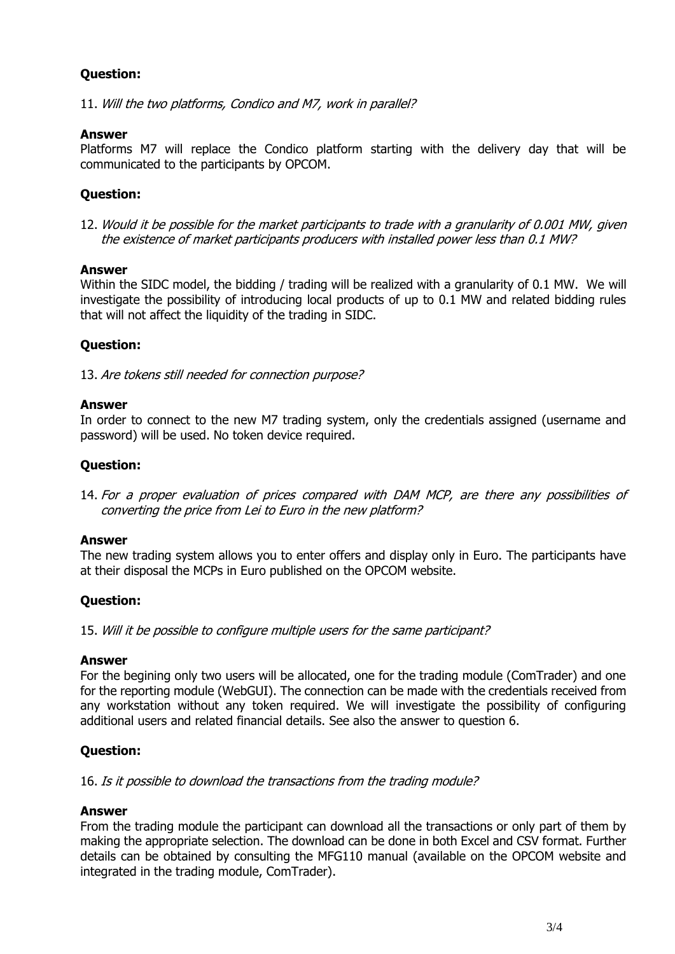# **Question:**

11. Will the two platforms, Condico and M7, work in parallel?

#### **Answer**

Platforms M7 will replace the Condico platform starting with the delivery day that will be communicated to the participants by OPCOM.

## **Question:**

12. Would it be possible for the market participants to trade with a granularity of 0.001 MW, given the existence of market participants producers with installed power less than 0.1 MW?

#### **Answer**

Within the SIDC model, the bidding / trading will be realized with a granularity of 0.1 MW. We will investigate the possibility of introducing local products of up to 0.1 MW and related bidding rules that will not affect the liquidity of the trading in SIDC.

# **Question:**

13. Are tokens still needed for connection purpose?

#### **Answer**

In order to connect to the new M7 trading system, only the credentials assigned (username and password) will be used. No token device required.

## **Question:**

14. For a proper evaluation of prices compared with DAM MCP, are there any possibilities of converting the price from Lei to Euro in the new platform?

#### **Answer**

The new trading system allows you to enter offers and display only in Euro. The participants have at their disposal the MCPs in Euro published on the OPCOM website.

## **Question:**

15. Will it be possible to configure multiple users for the same participant?

#### **Answer**

For the begining only two users will be allocated, one for the trading module (ComTrader) and one for the reporting module (WebGUI). The connection can be made with the credentials received from any workstation without any token required. We will investigate the possibility of configuring additional users and related financial details. See also the answer to question 6.

## **Question:**

16. Is it possible to download the transactions from the trading module?

#### **Answer**

From the trading module the participant can download all the transactions or only part of them by making the appropriate selection. The download can be done in both Excel and CSV format. Further details can be obtained by consulting the MFG110 manual (available on the OPCOM website and integrated in the trading module, ComTrader).